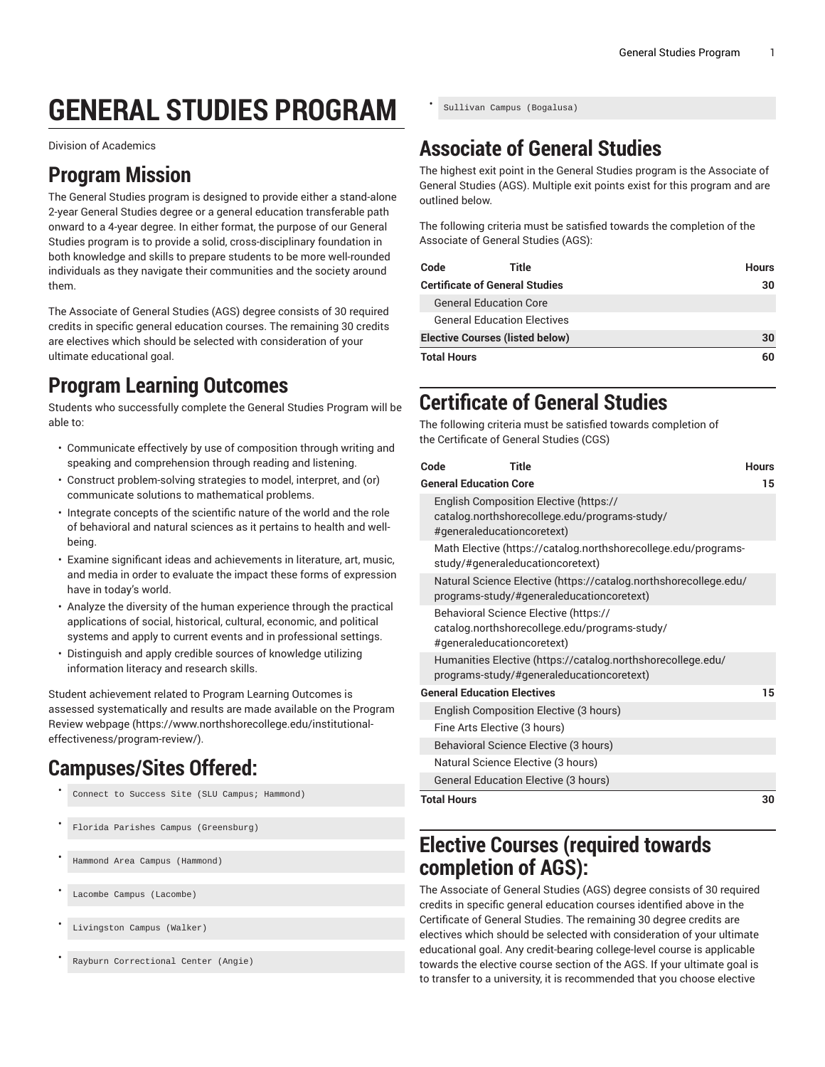# **GENERAL STUDIES PROGRAM**

Division of Academics

## **Program Mission**

The General Studies program is designed to provide either a stand-alone 2-year General Studies degree or a general education transferable path onward to a 4-year degree. In either format, the purpose of our General Studies program is to provide a solid, cross-disciplinary foundation in both knowledge and skills to prepare students to be more well-rounded individuals as they navigate their communities and the society around them.

The Associate of General Studies (AGS) degree consists of 30 required credits in specific general education courses. The remaining 30 credits are electives which should be selected with consideration of your ultimate educational goal.

# **Program Learning Outcomes**

Students who successfully complete the General Studies Program will be able to:

- Communicate effectively by use of composition through writing and speaking and comprehension through reading and listening.
- Construct problem-solving strategies to model, interpret, and (or) communicate solutions to mathematical problems.
- Integrate concepts of the scientific nature of the world and the role of behavioral and natural sciences as it pertains to health and wellbeing.
- Examine significant ideas and achievements in literature, art, music, and media in order to evaluate the impact these forms of expression have in today's world.
- Analyze the diversity of the human experience through the practical applications of social, historical, cultural, economic, and political systems and apply to current events and in professional settings.
- Distinguish and apply credible sources of knowledge utilizing information literacy and research skills.

Student achievement related to Program Learning Outcomes is assessed systematically and results are made available on the [Program](https://www.northshorecollege.edu/institutional-effectiveness/program-review/) Review [webpage](https://www.northshorecollege.edu/institutional-effectiveness/program-review/) ([https://www.northshorecollege.edu/institutional](https://www.northshorecollege.edu/institutional-effectiveness/program-review/)[effectiveness/program-review/\)](https://www.northshorecollege.edu/institutional-effectiveness/program-review/).

# **Campuses/Sites Offered:**

- Connect to Success Site (SLU Campus; Hammond)
- Florida Parishes Campus (Greensburg)
- Hammond Area Campus (Hammond)
- Lacombe Campus (Lacombe)
- Livingston Campus (Walker)
- Rayburn Correctional Center (Angie)

• Sullivan Campus (Bogalusa)

# **Associate of General Studies**

The highest exit point in the General Studies program is the Associate of General Studies (AGS). Multiple exit points exist for this program and are outlined below.

The following criteria must be satisfied towards the completion of the Associate of General Studies (AGS):

| Code                                   | Title                              | <b>Hours</b> |
|----------------------------------------|------------------------------------|--------------|
| <b>Certificate of General Studies</b>  |                                    | 30           |
|                                        | <b>General Education Core</b>      |              |
|                                        | <b>General Education Electives</b> |              |
| <b>Elective Courses (listed below)</b> |                                    | 30           |
| <b>Total Hours</b>                     |                                    | 60           |

# **Certificate of General Studies**

The following criteria must be satisfied towards completion of the Certificate of General Studies (CGS)

|                               | Title<br>Code                                                                                                         | <b>Hours</b> |
|-------------------------------|-----------------------------------------------------------------------------------------------------------------------|--------------|
| <b>General Education Core</b> |                                                                                                                       |              |
|                               | English Composition Elective (https://<br>catalog.northshorecollege.edu/programs-study/<br>#generaleducationcoretext) |              |
|                               | Math Elective (https://catalog.northshorecollege.edu/programs-<br>study/#generaleducationcoretext)                    |              |
|                               | Natural Science Elective (https://catalog.northshorecollege.edu/<br>programs-study/#generaleducationcoretext)         |              |
|                               | Behavioral Science Elective (https://<br>catalog.northshorecollege.edu/programs-study/<br>#generaleducationcoretext)  |              |
|                               | Humanities Elective (https://catalog.northshorecollege.edu/<br>programs-study/#generaleducationcoretext)              |              |
|                               | <b>General Education Electives</b>                                                                                    | 15           |
|                               | English Composition Elective (3 hours)                                                                                |              |
|                               | Fine Arts Elective (3 hours)                                                                                          |              |
|                               | Behavioral Science Elective (3 hours)                                                                                 |              |
|                               | Natural Science Elective (3 hours)                                                                                    |              |
|                               | <b>General Education Elective (3 hours)</b>                                                                           |              |
| <b>Total Hours</b>            |                                                                                                                       |              |

# **Elective Courses (required towards completion of AGS):**

The Associate of General Studies (AGS) degree consists of 30 required credits in specific general education courses identified above in the Certificate of General Studies. The remaining 30 degree credits are electives which should be selected with consideration of your ultimate educational goal. Any credit-bearing college-level course is applicable towards the elective course section of the AGS. If your ultimate goal is to transfer to a university, it is recommended that you choose elective